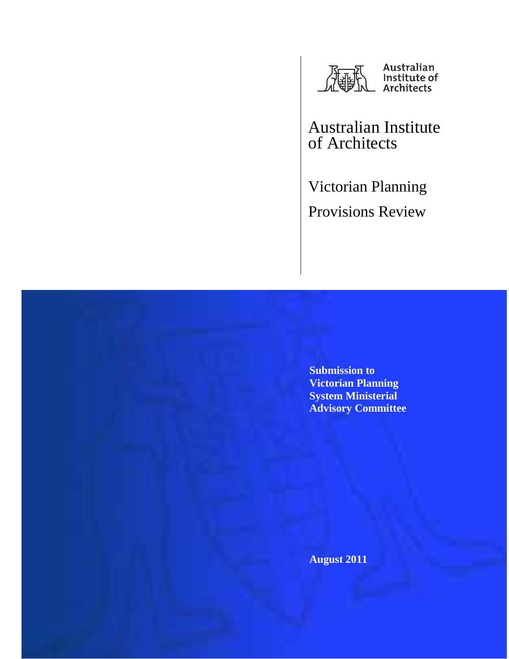

Australian Institute of Architects

Victorian Planning Provisions Review

**Submission to Victorian Planning System Ministerial Advisory Committee** 

**August 2011**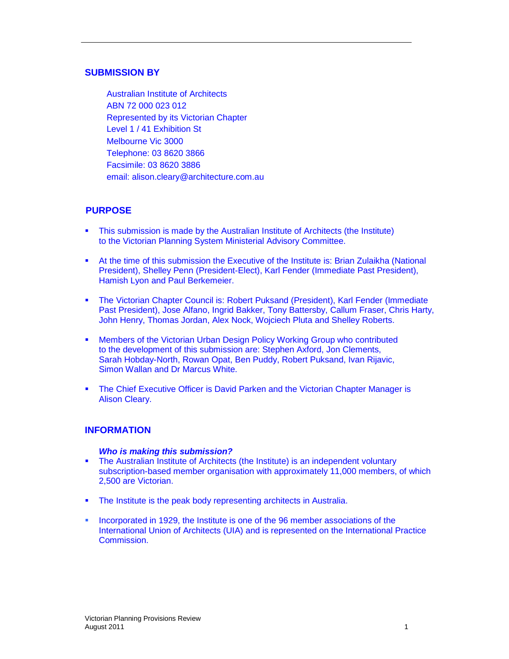## **SUBMISSION BY**

Australian Institute of Architects ABN 72 000 023 012 Represented by its Victorian Chapter Level 1 / 41 Exhibition St Melbourne Vic 3000 Telephone: 03 8620 3866 Facsimile: 03 8620 3886 email: alison.cleary@architecture.com.au

# **PURPOSE**

- This submission is made by the Australian Institute of Architects (the Institute) to the Victorian Planning System Ministerial Advisory Committee.
- At the time of this submission the Executive of the Institute is: Brian Zulaikha (National President), Shelley Penn (President-Elect), Karl Fender (Immediate Past President), Hamish Lyon and Paul Berkemeier.
- The Victorian Chapter Council is: Robert Puksand (President), Karl Fender (Immediate Past President), Jose Alfano, Ingrid Bakker, Tony Battersby, Callum Fraser, Chris Harty, John Henry, Thomas Jordan, Alex Nock, Wojciech Pluta and Shelley Roberts.
- Members of the Victorian Urban Design Policy Working Group who contributed to the development of this submission are: Stephen Axford, Jon Clements, Sarah Hobday-North, Rowan Opat, Ben Puddy, Robert Puksand, Ivan Rijavic, Simon Wallan and Dr Marcus White.
- **The Chief Executive Officer is David Parken and the Victorian Chapter Manager is** Alison Cleary.

#### **INFORMATION**

#### **Who is making this submission?**

- The Australian Institute of Architects (the Institute) is an independent voluntary subscription-based member organisation with approximately 11,000 members, of which 2,500 are Victorian.
- The Institute is the peak body representing architects in Australia.
- Incorporated in 1929, the Institute is one of the 96 member associations of the International Union of Architects (UIA) and is represented on the International Practice Commission.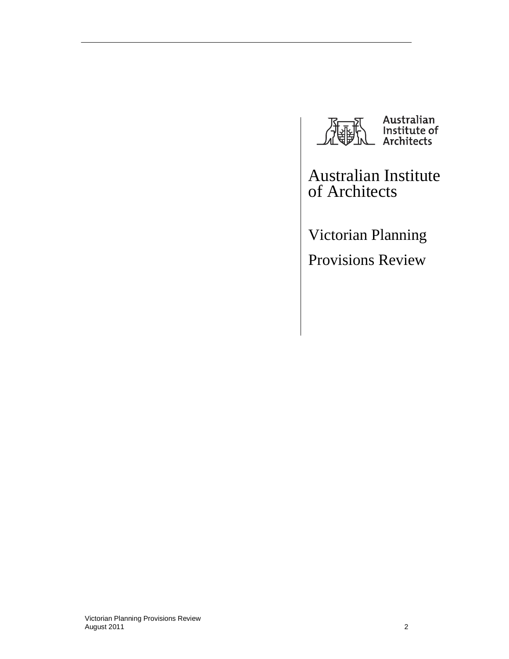

Australian<br>Institute of<br>Architects

Australian Institute of Architects

Victorian Planning Provisions Review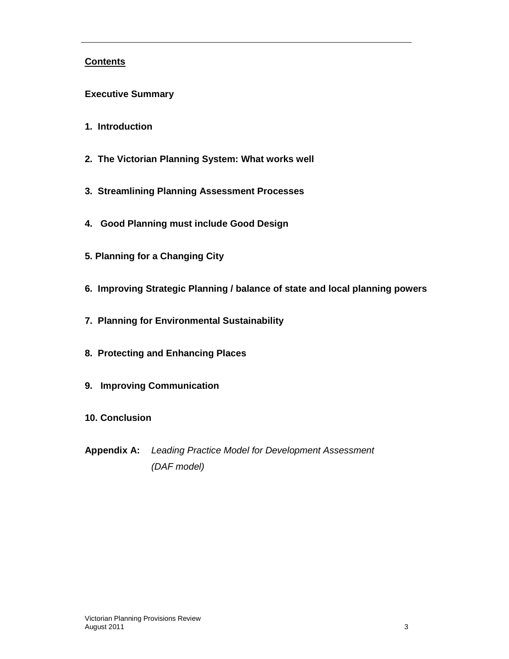# **Contents**

- **Executive Summary**
- **1. Introduction**
- **2. The Victorian Planning System: What works well**
- **3. Streamlining Planning Assessment Processes**
- **4. Good Planning must include Good Design**
- **5. Planning for a Changing City**
- **6. Improving Strategic Planning / balance of state and local planning powers**
- **7. Planning for Environmental Sustainability**
- **8. Protecting and Enhancing Places**
- **9. Improving Communication**
- **10. Conclusion**
- **Appendix A:** Leading Practice Model for Development Assessment (DAF model)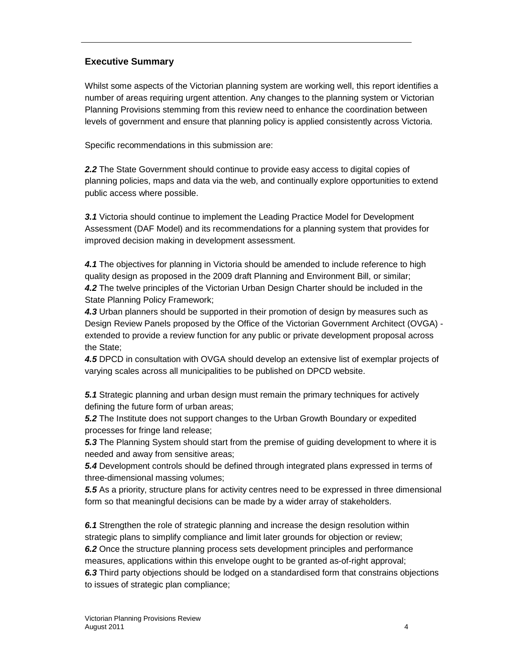# **Executive Summary**

Whilst some aspects of the Victorian planning system are working well, this report identifies a number of areas requiring urgent attention. Any changes to the planning system or Victorian Planning Provisions stemming from this review need to enhance the coordination between levels of government and ensure that planning policy is applied consistently across Victoria.

Specific recommendations in this submission are:

**2.2** The State Government should continue to provide easy access to digital copies of planning policies, maps and data via the web, and continually explore opportunities to extend public access where possible.

**3.1** Victoria should continue to implement the Leading Practice Model for Development Assessment (DAF Model) and its recommendations for a planning system that provides for improved decision making in development assessment.

**4.1** The objectives for planning in Victoria should be amended to include reference to high quality design as proposed in the 2009 draft Planning and Environment Bill, or similar; **4.2** The twelve principles of the Victorian Urban Design Charter should be included in the State Planning Policy Framework;

**4.3** Urban planners should be supported in their promotion of design by measures such as Design Review Panels proposed by the Office of the Victorian Government Architect (OVGA) extended to provide a review function for any public or private development proposal across the State;

**4.5** DPCD in consultation with OVGA should develop an extensive list of exemplar projects of varying scales across all municipalities to be published on DPCD website.

**5.1** Strategic planning and urban design must remain the primary techniques for actively defining the future form of urban areas;

**5.2** The Institute does not support changes to the Urban Growth Boundary or expedited processes for fringe land release;

**5.3** The Planning System should start from the premise of guiding development to where it is needed and away from sensitive areas;

**5.4** Development controls should be defined through integrated plans expressed in terms of three-dimensional massing volumes;

**5.5** As a priority, structure plans for activity centres need to be expressed in three dimensional form so that meaningful decisions can be made by a wider array of stakeholders.

**6.1** Strengthen the role of strategic planning and increase the design resolution within strategic plans to simplify compliance and limit later grounds for objection or review; **6.2** Once the structure planning process sets development principles and performance measures, applications within this envelope ought to be granted as-of-right approval; **6.3** Third party objections should be lodged on a standardised form that constrains objections to issues of strategic plan compliance;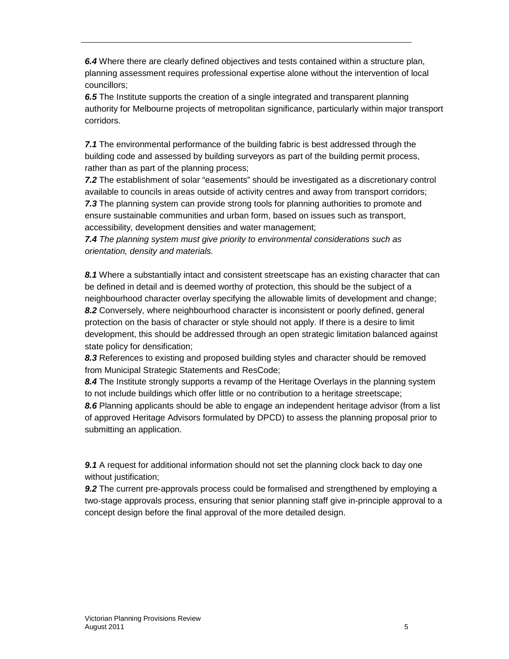**6.4** Where there are clearly defined objectives and tests contained within a structure plan, planning assessment requires professional expertise alone without the intervention of local councillors;

**6.5** The Institute supports the creation of a single integrated and transparent planning authority for Melbourne projects of metropolitan significance, particularly within major transport corridors.

**7.1** The environmental performance of the building fabric is best addressed through the building code and assessed by building surveyors as part of the building permit process, rather than as part of the planning process;

**7.2** The establishment of solar "easements" should be investigated as a discretionary control available to councils in areas outside of activity centres and away from transport corridors; **7.3** The planning system can provide strong tools for planning authorities to promote and ensure sustainable communities and urban form, based on issues such as transport, accessibility, development densities and water management;

**7.4** The planning system must give priority to environmental considerations such as orientation, density and materials.

**8.1** Where a substantially intact and consistent streetscape has an existing character that can be defined in detail and is deemed worthy of protection, this should be the subject of a neighbourhood character overlay specifying the allowable limits of development and change; **8.2** Conversely, where neighbourhood character is inconsistent or poorly defined, general protection on the basis of character or style should not apply. If there is a desire to limit development, this should be addressed through an open strategic limitation balanced against state policy for densification;

**8.3** References to existing and proposed building styles and character should be removed from Municipal Strategic Statements and ResCode;

**8.4** The Institute strongly supports a revamp of the Heritage Overlays in the planning system to not include buildings which offer little or no contribution to a heritage streetscape;

**8.6** Planning applicants should be able to engage an independent heritage advisor (from a list of approved Heritage Advisors formulated by DPCD) to assess the planning proposal prior to submitting an application.

**9.1** A request for additional information should not set the planning clock back to day one without justification;

**9.2** The current pre-approvals process could be formalised and strengthened by employing a two-stage approvals process, ensuring that senior planning staff give in-principle approval to a concept design before the final approval of the more detailed design.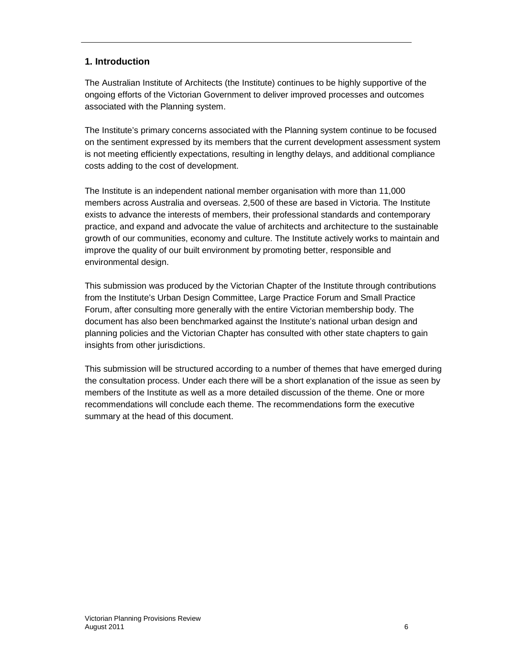# **1. Introduction**

The Australian Institute of Architects (the Institute) continues to be highly supportive of the ongoing efforts of the Victorian Government to deliver improved processes and outcomes associated with the Planning system.

The Institute's primary concerns associated with the Planning system continue to be focused on the sentiment expressed by its members that the current development assessment system is not meeting efficiently expectations, resulting in lengthy delays, and additional compliance costs adding to the cost of development.

The Institute is an independent national member organisation with more than 11,000 members across Australia and overseas. 2,500 of these are based in Victoria. The Institute exists to advance the interests of members, their professional standards and contemporary practice, and expand and advocate the value of architects and architecture to the sustainable growth of our communities, economy and culture. The Institute actively works to maintain and improve the quality of our built environment by promoting better, responsible and environmental design.

This submission was produced by the Victorian Chapter of the Institute through contributions from the Institute's Urban Design Committee, Large Practice Forum and Small Practice Forum, after consulting more generally with the entire Victorian membership body. The document has also been benchmarked against the Institute's national urban design and planning policies and the Victorian Chapter has consulted with other state chapters to gain insights from other jurisdictions.

This submission will be structured according to a number of themes that have emerged during the consultation process. Under each there will be a short explanation of the issue as seen by members of the Institute as well as a more detailed discussion of the theme. One or more recommendations will conclude each theme. The recommendations form the executive summary at the head of this document.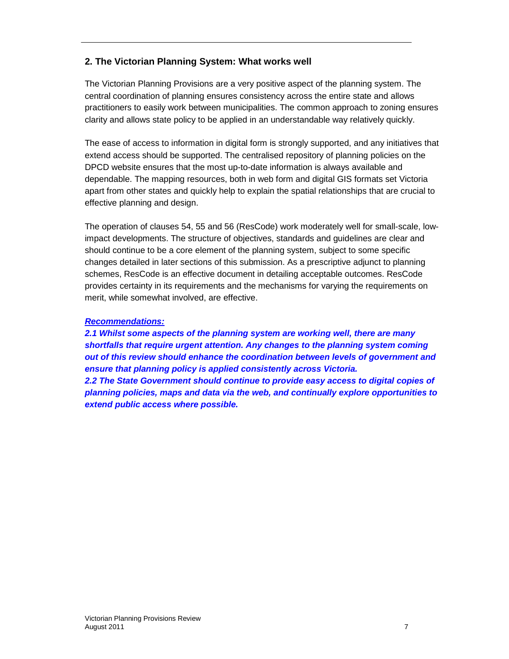# **2. The Victorian Planning System: What works well**

The Victorian Planning Provisions are a very positive aspect of the planning system. The central coordination of planning ensures consistency across the entire state and allows practitioners to easily work between municipalities. The common approach to zoning ensures clarity and allows state policy to be applied in an understandable way relatively quickly.

The ease of access to information in digital form is strongly supported, and any initiatives that extend access should be supported. The centralised repository of planning policies on the DPCD website ensures that the most up-to-date information is always available and dependable. The mapping resources, both in web form and digital GIS formats set Victoria apart from other states and quickly help to explain the spatial relationships that are crucial to effective planning and design.

The operation of clauses 54, 55 and 56 (ResCode) work moderately well for small-scale, lowimpact developments. The structure of objectives, standards and guidelines are clear and should continue to be a core element of the planning system, subject to some specific changes detailed in later sections of this submission. As a prescriptive adjunct to planning schemes, ResCode is an effective document in detailing acceptable outcomes. ResCode provides certainty in its requirements and the mechanisms for varying the requirements on merit, while somewhat involved, are effective.

### **Recommendations:**

**2.1 Whilst some aspects of the planning system are working well, there are many shortfalls that require urgent attention. Any changes to the planning system coming out of this review should enhance the coordination between levels of government and ensure that planning policy is applied consistently across Victoria. 2.2 The State Government should continue to provide easy access to digital copies of** 

**planning policies, maps and data via the web, and continually explore opportunities to extend public access where possible.**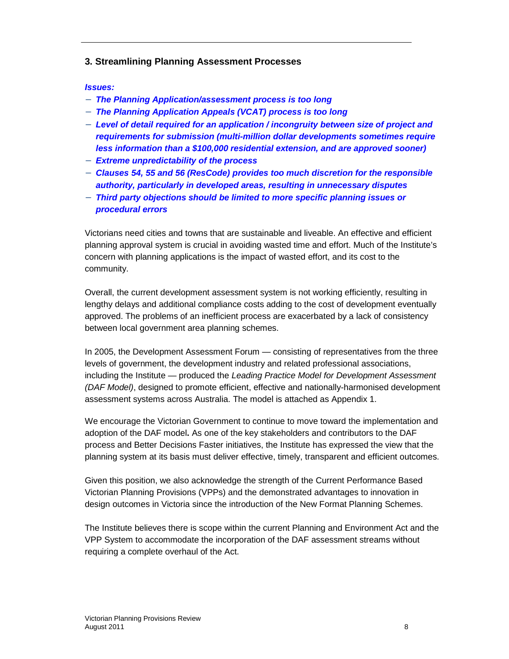### **3. Streamlining Planning Assessment Processes**

#### **Issues:**

- − **The Planning Application/assessment process is too long**
- − **The Planning Application Appeals (VCAT) process is too long**
- − **Level of detail required for an application / incongruity between size of project and requirements for submission (multi-million dollar developments sometimes require less information than a \$100,000 residential extension, and are approved sooner)**
- − **Extreme unpredictability of the process**
- − **Clauses 54, 55 and 56 (ResCode) provides too much discretion for the responsible authority, particularly in developed areas, resulting in unnecessary disputes**
- − **Third party objections should be limited to more specific planning issues or procedural errors**

Victorians need cities and towns that are sustainable and liveable. An effective and efficient planning approval system is crucial in avoiding wasted time and effort. Much of the Institute's concern with planning applications is the impact of wasted effort, and its cost to the community.

Overall, the current development assessment system is not working efficiently, resulting in lengthy delays and additional compliance costs adding to the cost of development eventually approved. The problems of an inefficient process are exacerbated by a lack of consistency between local government area planning schemes.

In 2005, the Development Assessment Forum — consisting of representatives from the three levels of government, the development industry and related professional associations, including the Institute — produced the Leading Practice Model for Development Assessment (DAF Model), designed to promote efficient, effective and nationally-harmonised development assessment systems across Australia. The model is attached as Appendix 1.

We encourage the Victorian Government to continue to move toward the implementation and adoption of the DAF model**.** As one of the key stakeholders and contributors to the DAF process and Better Decisions Faster initiatives, the Institute has expressed the view that the planning system at its basis must deliver effective, timely, transparent and efficient outcomes.

Given this position, we also acknowledge the strength of the Current Performance Based Victorian Planning Provisions (VPPs) and the demonstrated advantages to innovation in design outcomes in Victoria since the introduction of the New Format Planning Schemes.

The Institute believes there is scope within the current Planning and Environment Act and the VPP System to accommodate the incorporation of the DAF assessment streams without requiring a complete overhaul of the Act.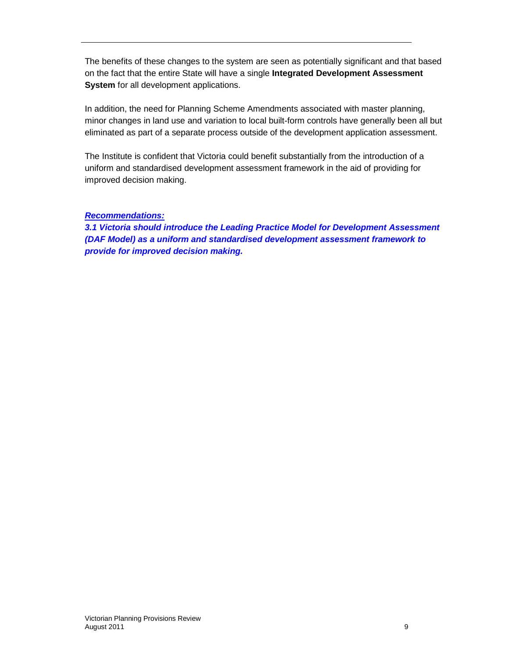The benefits of these changes to the system are seen as potentially significant and that based on the fact that the entire State will have a single **Integrated Development Assessment System** for all development applications.

In addition, the need for Planning Scheme Amendments associated with master planning, minor changes in land use and variation to local built-form controls have generally been all but eliminated as part of a separate process outside of the development application assessment.

The Institute is confident that Victoria could benefit substantially from the introduction of a uniform and standardised development assessment framework in the aid of providing for improved decision making.

## **Recommendations:**

**3.1 Victoria should introduce the Leading Practice Model for Development Assessment (DAF Model) as a uniform and standardised development assessment framework to provide for improved decision making.**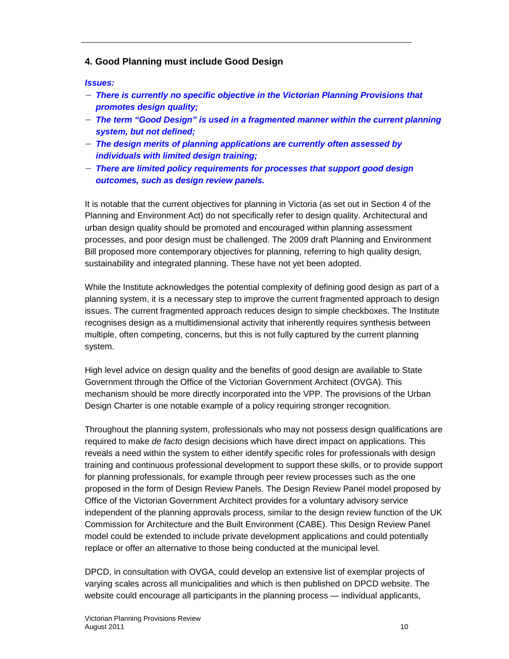# **4. Good Planning must include Good Design**

#### **Issues:**

- − **There is currently no specific objective in the Victorian Planning Provisions that promotes design quality;**
- − **The term "Good Design" is used in a fragmented manner within the current planning system, but not defined;**
- − **The design merits of planning applications are currently often assessed by individuals with limited design training;**
- − **There are limited policy requirements for processes that support good design outcomes, such as design review panels.**

It is notable that the current objectives for planning in Victoria (as set out in Section 4 of the Planning and Environment Act) do not specifically refer to design quality. Architectural and urban design quality should be promoted and encouraged within planning assessment processes, and poor design must be challenged. The 2009 draft Planning and Environment Bill proposed more contemporary objectives for planning, referring to high quality design, sustainability and integrated planning. These have not yet been adopted.

While the Institute acknowledges the potential complexity of defining good design as part of a planning system, it is a necessary step to improve the current fragmented approach to design issues. The current fragmented approach reduces design to simple checkboxes. The Institute recognises design as a multidimensional activity that inherently requires synthesis between multiple, often competing, concerns, but this is not fully captured by the current planning system.

High level advice on design quality and the benefits of good design are available to State Government through the Office of the Victorian Government Architect (OVGA). This mechanism should be more directly incorporated into the VPP. The provisions of the Urban Design Charter is one notable example of a policy requiring stronger recognition.

Throughout the planning system, professionals who may not possess design qualifications are required to make de facto design decisions which have direct impact on applications. This reveals a need within the system to either identify specific roles for professionals with design training and continuous professional development to support these skills, or to provide support for planning professionals, for example through peer review processes such as the one proposed in the form of Design Review Panels. The Design Review Panel model proposed by Office of the Victorian Government Architect provides for a voluntary advisory service independent of the planning approvals process, similar to the design review function of the UK Commission for Architecture and the Built Environment (CABE). This Design Review Panel model could be extended to include private development applications and could potentially replace or offer an alternative to those being conducted at the municipal level.

DPCD, in consultation with OVGA, could develop an extensive list of exemplar projects of varying scales across all municipalities and which is then published on DPCD website. The website could encourage all participants in the planning process — individual applicants,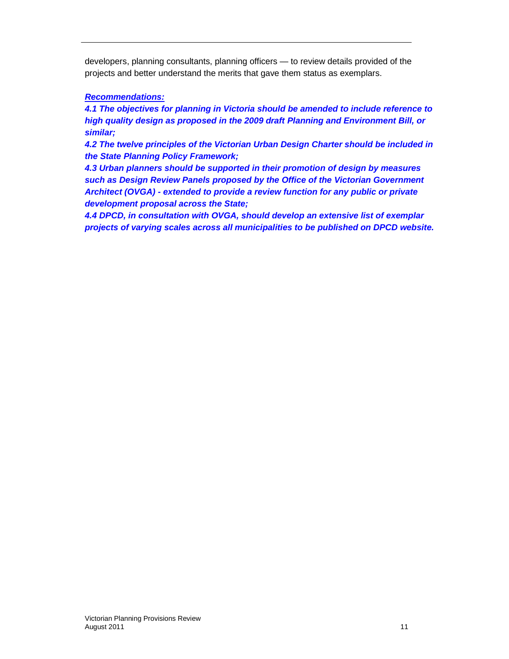developers, planning consultants, planning officers — to review details provided of the projects and better understand the merits that gave them status as exemplars.

# **Recommendations:**

**4.1 The objectives for planning in Victoria should be amended to include reference to high quality design as proposed in the 2009 draft Planning and Environment Bill, or similar;** 

**4.2 The twelve principles of the Victorian Urban Design Charter should be included in the State Planning Policy Framework;** 

**4.3 Urban planners should be supported in their promotion of design by measures such as Design Review Panels proposed by the Office of the Victorian Government Architect (OVGA) - extended to provide a review function for any public or private development proposal across the State;** 

**4.4 DPCD, in consultation with OVGA, should develop an extensive list of exemplar projects of varying scales across all municipalities to be published on DPCD website.**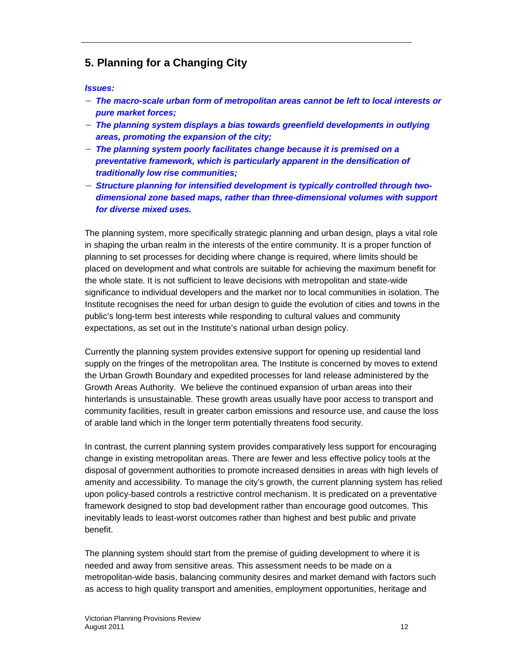# **5. Planning for a Changing City**

**Issues:** 

- − **The macro-scale urban form of metropolitan areas cannot be left to local interests or pure market forces;**
- − **The planning system displays a bias towards greenfield developments in outlying areas, promoting the expansion of the city;**
- − **The planning system poorly facilitates change because it is premised on a preventative framework, which is particularly apparent in the densification of traditionally low rise communities;**
- − **Structure planning for intensified development is typically controlled through twodimensional zone based maps, rather than three-dimensional volumes with support for diverse mixed uses.**

The planning system, more specifically strategic planning and urban design, plays a vital role in shaping the urban realm in the interests of the entire community. It is a proper function of planning to set processes for deciding where change is required, where limits should be placed on development and what controls are suitable for achieving the maximum benefit for the whole state. It is not sufficient to leave decisions with metropolitan and state-wide significance to individual developers and the market nor to local communities in isolation. The Institute recognises the need for urban design to guide the evolution of cities and towns in the public's long-term best interests while responding to cultural values and community expectations, as set out in the Institute's national urban design policy.

Currently the planning system provides extensive support for opening up residential land supply on the fringes of the metropolitan area. The Institute is concerned by moves to extend the Urban Growth Boundary and expedited processes for land release administered by the Growth Areas Authority. We believe the continued expansion of urban areas into their hinterlands is unsustainable. These growth areas usually have poor access to transport and community facilities, result in greater carbon emissions and resource use, and cause the loss of arable land which in the longer term potentially threatens food security.

In contrast, the current planning system provides comparatively less support for encouraging change in existing metropolitan areas. There are fewer and less effective policy tools at the disposal of government authorities to promote increased densities in areas with high levels of amenity and accessibility. To manage the city's growth, the current planning system has relied upon policy-based controls a restrictive control mechanism. It is predicated on a preventative framework designed to stop bad development rather than encourage good outcomes. This inevitably leads to least-worst outcomes rather than highest and best public and private benefit.

The planning system should start from the premise of guiding development to where it is needed and away from sensitive areas. This assessment needs to be made on a metropolitan-wide basis, balancing community desires and market demand with factors such as access to high quality transport and amenities, employment opportunities, heritage and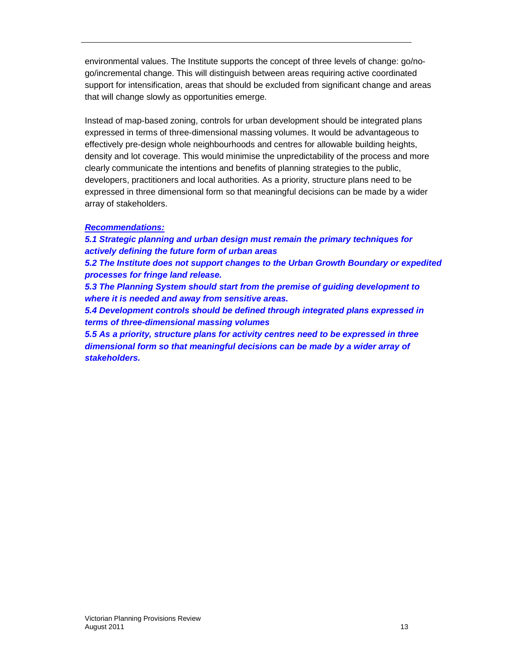environmental values. The Institute supports the concept of three levels of change: go/nogo/incremental change. This will distinguish between areas requiring active coordinated support for intensification, areas that should be excluded from significant change and areas that will change slowly as opportunities emerge.

Instead of map-based zoning, controls for urban development should be integrated plans expressed in terms of three-dimensional massing volumes. It would be advantageous to effectively pre-design whole neighbourhoods and centres for allowable building heights, density and lot coverage. This would minimise the unpredictability of the process and more clearly communicate the intentions and benefits of planning strategies to the public, developers, practitioners and local authorities. As a priority, structure plans need to be expressed in three dimensional form so that meaningful decisions can be made by a wider array of stakeholders.

#### **Recommendations:**

**5.1 Strategic planning and urban design must remain the primary techniques for actively defining the future form of urban areas** 

**5.2 The Institute does not support changes to the Urban Growth Boundary or expedited processes for fringe land release.** 

**5.3 The Planning System should start from the premise of guiding development to where it is needed and away from sensitive areas.** 

**5.4 Development controls should be defined through integrated plans expressed in terms of three-dimensional massing volumes** 

**5.5 As a priority, structure plans for activity centres need to be expressed in three dimensional form so that meaningful decisions can be made by a wider array of stakeholders.**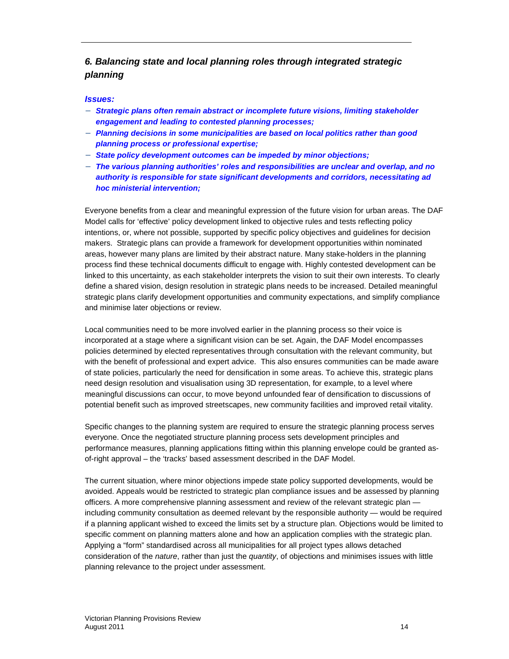# **6. Balancing state and local planning roles through integrated strategic planning**

#### **Issues:**

- − **Strategic plans often remain abstract or incomplete future visions, limiting stakeholder engagement and leading to contested planning processes;**
- − **Planning decisions in some municipalities are based on local politics rather than good planning process or professional expertise;**
- − **State policy development outcomes can be impeded by minor objections;**
- − **The various planning authorities' roles and responsibilities are unclear and overlap, and no authority is responsible for state significant developments and corridors, necessitating ad hoc ministerial intervention;**

Everyone benefits from a clear and meaningful expression of the future vision for urban areas. The DAF Model calls for 'effective' policy development linked to objective rules and tests reflecting policy intentions, or, where not possible, supported by specific policy objectives and guidelines for decision makers. Strategic plans can provide a framework for development opportunities within nominated areas, however many plans are limited by their abstract nature. Many stake-holders in the planning process find these technical documents difficult to engage with. Highly contested development can be linked to this uncertainty, as each stakeholder interprets the vision to suit their own interests. To clearly define a shared vision, design resolution in strategic plans needs to be increased. Detailed meaningful strategic plans clarify development opportunities and community expectations, and simplify compliance and minimise later objections or review.

Local communities need to be more involved earlier in the planning process so their voice is incorporated at a stage where a significant vision can be set. Again, the DAF Model encompasses policies determined by elected representatives through consultation with the relevant community, but with the benefit of professional and expert advice. This also ensures communities can be made aware of state policies, particularly the need for densification in some areas. To achieve this, strategic plans need design resolution and visualisation using 3D representation, for example, to a level where meaningful discussions can occur, to move beyond unfounded fear of densification to discussions of potential benefit such as improved streetscapes, new community facilities and improved retail vitality.

Specific changes to the planning system are required to ensure the strategic planning process serves everyone. Once the negotiated structure planning process sets development principles and performance measures, planning applications fitting within this planning envelope could be granted asof-right approval – the 'tracks' based assessment described in the DAF Model.

The current situation, where minor objections impede state policy supported developments, would be avoided. Appeals would be restricted to strategic plan compliance issues and be assessed by planning officers. A more comprehensive planning assessment and review of the relevant strategic plan including community consultation as deemed relevant by the responsible authority — would be required if a planning applicant wished to exceed the limits set by a structure plan. Objections would be limited to specific comment on planning matters alone and how an application complies with the strategic plan. Applying a "form" standardised across all municipalities for all project types allows detached consideration of the nature, rather than just the quantity, of objections and minimises issues with little planning relevance to the project under assessment.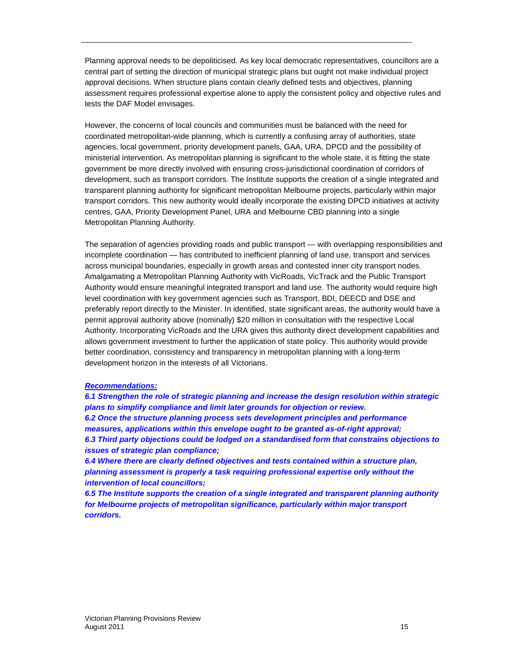Planning approval needs to be depoliticised. As key local democratic representatives, councillors are a central part of setting the direction of municipal strategic plans but ought not make individual project approval decisions. When structure plans contain clearly defined tests and objectives, planning assessment requires professional expertise alone to apply the consistent policy and objective rules and tests the DAF Model envisages.

However, the concerns of local councils and communities must be balanced with the need for coordinated metropolitan-wide planning, which is currently a confusing array of authorities, state agencies, local government, priority development panels, GAA, URA, DPCD and the possibility of ministerial intervention. As metropolitan planning is significant to the whole state, it is fitting the state government be more directly involved with ensuring cross-jurisdictional coordination of corridors of development, such as transport corridors. The Institute supports the creation of a single integrated and transparent planning authority for significant metropolitan Melbourne projects, particularly within major transport corridors. This new authority would ideally incorporate the existing DPCD initiatives at activity centres, GAA, Priority Development Panel, URA and Melbourne CBD planning into a single Metropolitan Planning Authority.

The separation of agencies providing roads and public transport — with overlapping responsibilities and incomplete coordination — has contributed to inefficient planning of land use, transport and services across municipal boundaries, especially in growth areas and contested inner city transport nodes. Amalgamating a Metropolitan Planning Authority with VicRoads, VicTrack and the Public Transport Authority would ensure meaningful integrated transport and land use. The authority would require high level coordination with key government agencies such as Transport, BDI, DEECD and DSE and preferably report directly to the Minister. In identified, state significant areas, the authority would have a permit approval authority above (nominally) \$20 million in consultation with the respective Local Authority. Incorporating VicRoads and the URA gives this authority direct development capabilities and allows government investment to further the application of state policy. This authority would provide better coordination, consistency and transparency in metropolitan planning with a long-term development horizon in the interests of all Victorians.

#### **Recommendations:**

**6.1 Strengthen the role of strategic planning and increase the design resolution within strategic plans to simplify compliance and limit later grounds for objection or review. 6.2 Once the structure planning process sets development principles and performance measures, applications within this envelope ought to be granted as-of-right approval; 6.3 Third party objections could be lodged on a standardised form that constrains objections to issues of strategic plan compliance;** 

**6.4 Where there are clearly defined objectives and tests contained within a structure plan, planning assessment is properly a task requiring professional expertise only without the intervention of local councillors;** 

**6.5 The Institute supports the creation of a single integrated and transparent planning authority for Melbourne projects of metropolitan significance, particularly within major transport corridors.**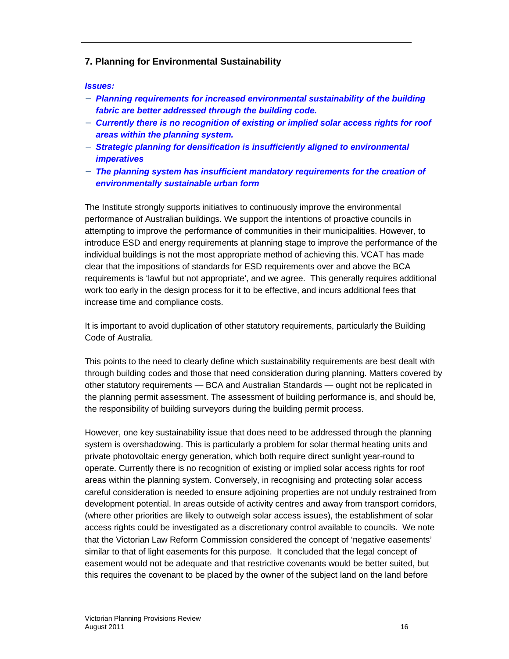# **7. Planning for Environmental Sustainability**

#### **Issues:**

- − **Planning requirements for increased environmental sustainability of the building fabric are better addressed through the building code.**
- − **Currently there is no recognition of existing or implied solar access rights for roof areas within the planning system.**
- − **Strategic planning for densification is insufficiently aligned to environmental imperatives**
- − **The planning system has insufficient mandatory requirements for the creation of environmentally sustainable urban form**

The Institute strongly supports initiatives to continuously improve the environmental performance of Australian buildings. We support the intentions of proactive councils in attempting to improve the performance of communities in their municipalities. However, to introduce ESD and energy requirements at planning stage to improve the performance of the individual buildings is not the most appropriate method of achieving this. VCAT has made clear that the impositions of standards for ESD requirements over and above the BCA requirements is 'lawful but not appropriate', and we agree. This generally requires additional work too early in the design process for it to be effective, and incurs additional fees that increase time and compliance costs.

It is important to avoid duplication of other statutory requirements, particularly the Building Code of Australia.

This points to the need to clearly define which sustainability requirements are best dealt with through building codes and those that need consideration during planning. Matters covered by other statutory requirements — BCA and Australian Standards — ought not be replicated in the planning permit assessment. The assessment of building performance is, and should be, the responsibility of building surveyors during the building permit process.

However, one key sustainability issue that does need to be addressed through the planning system is overshadowing. This is particularly a problem for solar thermal heating units and private photovoltaic energy generation, which both require direct sunlight year-round to operate. Currently there is no recognition of existing or implied solar access rights for roof areas within the planning system. Conversely, in recognising and protecting solar access careful consideration is needed to ensure adjoining properties are not unduly restrained from development potential. In areas outside of activity centres and away from transport corridors, (where other priorities are likely to outweigh solar access issues), the establishment of solar access rights could be investigated as a discretionary control available to councils. We note that the Victorian Law Reform Commission considered the concept of 'negative easements' similar to that of light easements for this purpose. It concluded that the legal concept of easement would not be adequate and that restrictive covenants would be better suited, but this requires the covenant to be placed by the owner of the subject land on the land before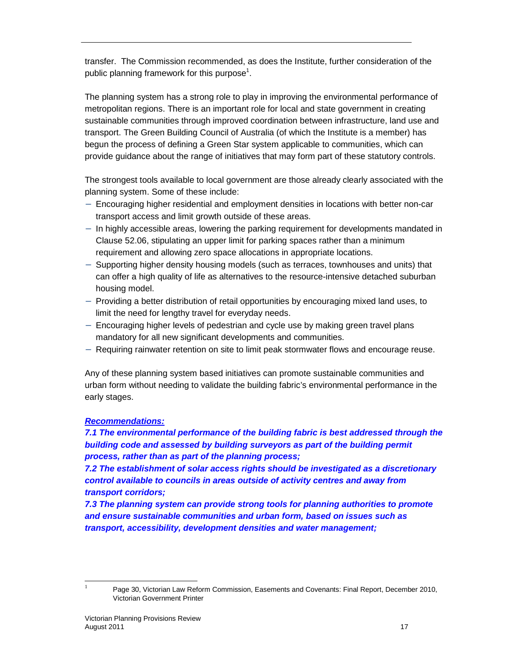transfer. The Commission recommended, as does the Institute, further consideration of the public planning framework for this purpose<sup>1</sup>.

The planning system has a strong role to play in improving the environmental performance of metropolitan regions. There is an important role for local and state government in creating sustainable communities through improved coordination between infrastructure, land use and transport. The Green Building Council of Australia (of which the Institute is a member) has begun the process of defining a Green Star system applicable to communities, which can provide guidance about the range of initiatives that may form part of these statutory controls.

The strongest tools available to local government are those already clearly associated with the planning system. Some of these include:

- − Encouraging higher residential and employment densities in locations with better non-car transport access and limit growth outside of these areas.
- − In highly accessible areas, lowering the parking requirement for developments mandated in Clause 52.06, stipulating an upper limit for parking spaces rather than a minimum requirement and allowing zero space allocations in appropriate locations.
- − Supporting higher density housing models (such as terraces, townhouses and units) that can offer a high quality of life as alternatives to the resource-intensive detached suburban housing model.
- − Providing a better distribution of retail opportunities by encouraging mixed land uses, to limit the need for lengthy travel for everyday needs.
- − Encouraging higher levels of pedestrian and cycle use by making green travel plans mandatory for all new significant developments and communities.
- − Requiring rainwater retention on site to limit peak stormwater flows and encourage reuse.

Any of these planning system based initiatives can promote sustainable communities and urban form without needing to validate the building fabric's environmental performance in the early stages.

# **Recommendations:**

**7.1 The environmental performance of the building fabric is best addressed through the building code and assessed by building surveyors as part of the building permit process, rather than as part of the planning process;** 

**7.2 The establishment of solar access rights should be investigated as a discretionary control available to councils in areas outside of activity centres and away from transport corridors;** 

**7.3 The planning system can provide strong tools for planning authorities to promote and ensure sustainable communities and urban form, based on issues such as transport, accessibility, development densities and water management;** 

 $\overline{a}$ 1

Page 30, Victorian Law Reform Commission, Easements and Covenants: Final Report, December 2010, Victorian Government Printer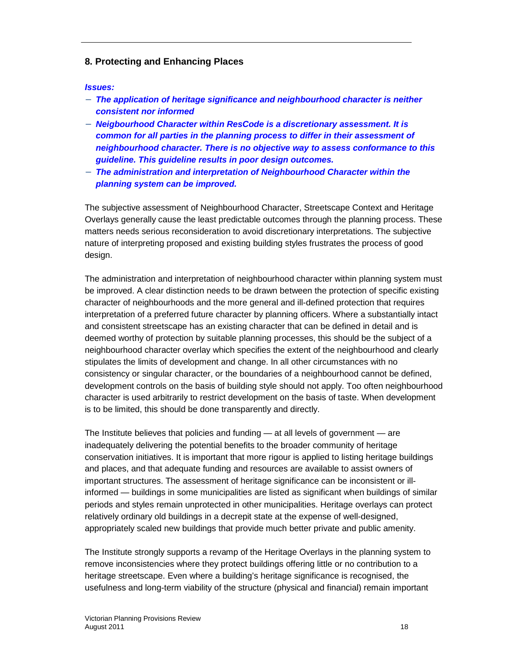## **8. Protecting and Enhancing Places**

#### **Issues:**

- − **The application of heritage significance and neighbourhood character is neither consistent nor informed**
- − **Neigbourhood Character within ResCode is a discretionary assessment. It is common for all parties in the planning process to differ in their assessment of neighbourhood character. There is no objective way to assess conformance to this guideline. This guideline results in poor design outcomes.**
- − **The administration and interpretation of Neighbourhood Character within the planning system can be improved.**

The subjective assessment of Neighbourhood Character, Streetscape Context and Heritage Overlays generally cause the least predictable outcomes through the planning process. These matters needs serious reconsideration to avoid discretionary interpretations. The subjective nature of interpreting proposed and existing building styles frustrates the process of good design.

The administration and interpretation of neighbourhood character within planning system must be improved. A clear distinction needs to be drawn between the protection of specific existing character of neighbourhoods and the more general and ill-defined protection that requires interpretation of a preferred future character by planning officers. Where a substantially intact and consistent streetscape has an existing character that can be defined in detail and is deemed worthy of protection by suitable planning processes, this should be the subject of a neighbourhood character overlay which specifies the extent of the neighbourhood and clearly stipulates the limits of development and change. In all other circumstances with no consistency or singular character, or the boundaries of a neighbourhood cannot be defined, development controls on the basis of building style should not apply. Too often neighbourhood character is used arbitrarily to restrict development on the basis of taste. When development is to be limited, this should be done transparently and directly.

The Institute believes that policies and funding — at all levels of government — are inadequately delivering the potential benefits to the broader community of heritage conservation initiatives. It is important that more rigour is applied to listing heritage buildings and places, and that adequate funding and resources are available to assist owners of important structures. The assessment of heritage significance can be inconsistent or illinformed — buildings in some municipalities are listed as significant when buildings of similar periods and styles remain unprotected in other municipalities. Heritage overlays can protect relatively ordinary old buildings in a decrepit state at the expense of well-designed, appropriately scaled new buildings that provide much better private and public amenity.

The Institute strongly supports a revamp of the Heritage Overlays in the planning system to remove inconsistencies where they protect buildings offering little or no contribution to a heritage streetscape. Even where a building's heritage significance is recognised, the usefulness and long-term viability of the structure (physical and financial) remain important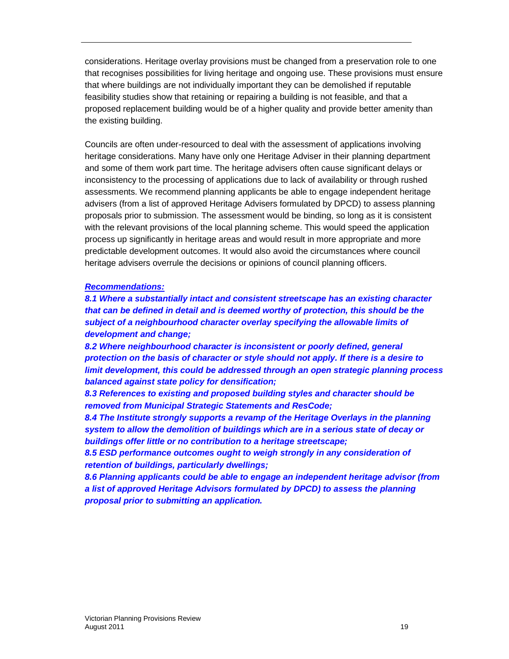considerations. Heritage overlay provisions must be changed from a preservation role to one that recognises possibilities for living heritage and ongoing use. These provisions must ensure that where buildings are not individually important they can be demolished if reputable feasibility studies show that retaining or repairing a building is not feasible, and that a proposed replacement building would be of a higher quality and provide better amenity than the existing building.

Councils are often under-resourced to deal with the assessment of applications involving heritage considerations. Many have only one Heritage Adviser in their planning department and some of them work part time. The heritage advisers often cause significant delays or inconsistency to the processing of applications due to lack of availability or through rushed assessments. We recommend planning applicants be able to engage independent heritage advisers (from a list of approved Heritage Advisers formulated by DPCD) to assess planning proposals prior to submission. The assessment would be binding, so long as it is consistent with the relevant provisions of the local planning scheme. This would speed the application process up significantly in heritage areas and would result in more appropriate and more predictable development outcomes. It would also avoid the circumstances where council heritage advisers overrule the decisions or opinions of council planning officers.

#### **Recommendations:**

**8.1 Where a substantially intact and consistent streetscape has an existing character that can be defined in detail and is deemed worthy of protection, this should be the subject of a neighbourhood character overlay specifying the allowable limits of development and change;** 

**8.2 Where neighbourhood character is inconsistent or poorly defined, general protection on the basis of character or style should not apply. If there is a desire to limit development, this could be addressed through an open strategic planning process balanced against state policy for densification;** 

**8.3 References to existing and proposed building styles and character should be removed from Municipal Strategic Statements and ResCode;** 

**8.4 The Institute strongly supports a revamp of the Heritage Overlays in the planning system to allow the demolition of buildings which are in a serious state of decay or buildings offer little or no contribution to a heritage streetscape;** 

**8.5 ESD performance outcomes ought to weigh strongly in any consideration of retention of buildings, particularly dwellings;** 

**8.6 Planning applicants could be able to engage an independent heritage advisor (from a list of approved Heritage Advisors formulated by DPCD) to assess the planning proposal prior to submitting an application.**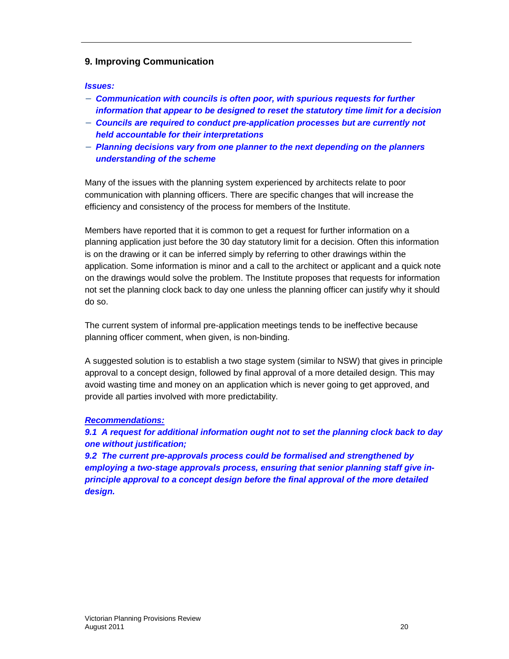## **9. Improving Communication**

#### **Issues:**

- − **Communication with councils is often poor, with spurious requests for further information that appear to be designed to reset the statutory time limit for a decision**
- − **Councils are required to conduct pre-application processes but are currently not held accountable for their interpretations**
- − **Planning decisions vary from one planner to the next depending on the planners understanding of the scheme**

Many of the issues with the planning system experienced by architects relate to poor communication with planning officers. There are specific changes that will increase the efficiency and consistency of the process for members of the Institute.

Members have reported that it is common to get a request for further information on a planning application just before the 30 day statutory limit for a decision. Often this information is on the drawing or it can be inferred simply by referring to other drawings within the application. Some information is minor and a call to the architect or applicant and a quick note on the drawings would solve the problem. The Institute proposes that requests for information not set the planning clock back to day one unless the planning officer can justify why it should do so.

The current system of informal pre-application meetings tends to be ineffective because planning officer comment, when given, is non-binding.

A suggested solution is to establish a two stage system (similar to NSW) that gives in principle approval to a concept design, followed by final approval of a more detailed design. This may avoid wasting time and money on an application which is never going to get approved, and provide all parties involved with more predictability.

#### **Recommendations:**

**9.1 A request for additional information ought not to set the planning clock back to day one without justification;** 

**9.2 The current pre-approvals process could be formalised and strengthened by employing a two-stage approvals process, ensuring that senior planning staff give inprinciple approval to a concept design before the final approval of the more detailed design.**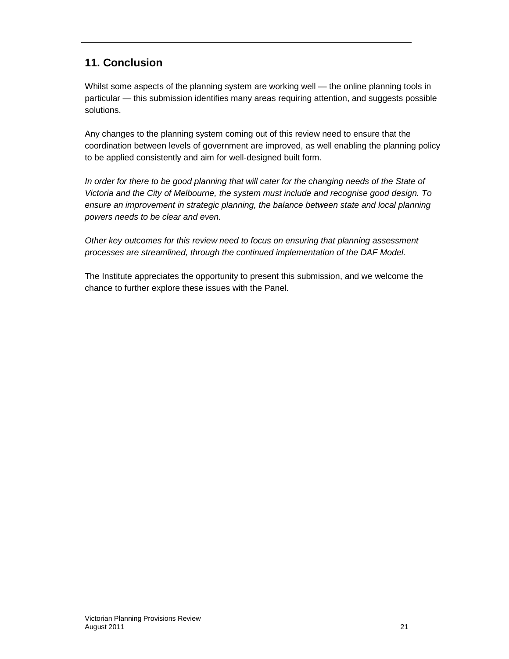# **11. Conclusion**

Whilst some aspects of the planning system are working well — the online planning tools in particular — this submission identifies many areas requiring attention, and suggests possible solutions.

Any changes to the planning system coming out of this review need to ensure that the coordination between levels of government are improved, as well enabling the planning policy to be applied consistently and aim for well-designed built form.

In order for there to be good planning that will cater for the changing needs of the State of Victoria and the City of Melbourne, the system must include and recognise good design. To ensure an improvement in strategic planning, the balance between state and local planning powers needs to be clear and even.

Other key outcomes for this review need to focus on ensuring that planning assessment processes are streamlined, through the continued implementation of the DAF Model.

The Institute appreciates the opportunity to present this submission, and we welcome the chance to further explore these issues with the Panel.